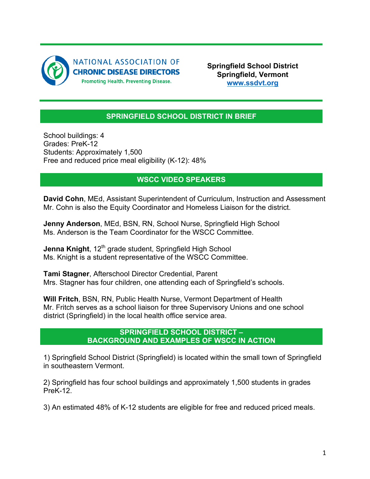

**Springfield School District Springfield, Vermont www.ssdvt.org**

## **SPRINGFIELD SCHOOL DISTRICT IN BRIEF**

School buildings: 4 Grades: PreK-12 Students: Approximately 1,500 Free and reduced price meal eligibility (K-12): 48%

## **WSCC VIDEO SPEAKERS**

**David Cohn**, MEd, Assistant Superintendent of Curriculum, Instruction and Assessment Mr. Cohn is also the Equity Coordinator and Homeless Liaison for the district.

**Jenny Anderson**, MEd, BSN, RN, School Nurse, Springfield High School Ms. Anderson is the Team Coordinator for the WSCC Committee.

**Jenna Knight**, 12<sup>th</sup> grade student, Springfield High School Ms. Knight is a student representative of the WSCC Committee.

**Tami Stagner**, Afterschool Director Credential, Parent Mrs. Stagner has four children, one attending each of Springfield's schools.

**Will Fritch**, BSN, RN, Public Health Nurse, Vermont Department of Health Mr. Fritch serves as a school liaison for three Supervisory Unions and one school district (Springfield) in the local health office service area.

## **SPRINGFIELD SCHOOL DISTRICT – BACKGROUND AND EXAMPLES OF WSCC IN ACTION**

1) Springfield School District (Springfield) is located within the small town of Springfield in southeastern Vermont.

2) Springfield has four school buildings and approximately 1,500 students in grades PreK-12.

3) An estimated 48% of K-12 students are eligible for free and reduced priced meals.